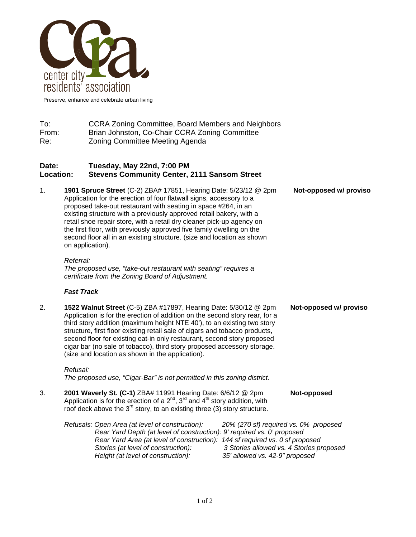

Preserve, enhance and celebrate urban living

To: CCRA Zoning Committee, Board Members and Neighbors From: Brian Johnston, Co-Chair CCRA Zoning Committee Re: Zoning Committee Meeting Agenda

## **Date: Tuesday, May 22nd, 7:00 PM Location: Stevens Community Center, 2111 Sansom Street**

1. **1901 Spruce Street** (C-2) ZBA# 17851, Hearing Date: 5/23/12 @ 2pm **Not-opposed w/ proviso**  Application for the erection of four flatwall signs, accessory to a proposed take-out restaurant with seating in space #264, in an existing structure with a previously approved retail bakery, with a retail shoe repair store, with a retail dry cleaner pick-up agency on the first floor, with previously approved five family dwelling on the second floor all in an existing structure. (size and location as shown on application).

## *Referral:*

*The proposed use, "take-out restaurant with seating" requires a certificate from the Zoning Board of Adjustment.* 

## *Fast Track*

2. **1522 Walnut Street** (C-5) ZBA #17897, Hearing Date: 5/30/12 @ 2pm **Not-opposed w/ proviso** Application is for the erection of addition on the second story rear, for a third story addition (maximum height NTE 40'), to an existing two story structure, first floor existing retail sale of cigars and tobacco products, second floor for existing eat-in only restaurant, second story proposed cigar bar (no sale of tobacco), third story proposed accessory storage. (size and location as shown in the application).

*Refusal: The proposed use, "Cigar-Bar" is not permitted in this zoning district.* 

3. **2001 Waverly St. (C-1)** ZBA# 11991 Hearing Date: 6/6/12 @ 2pm **Not-opposed** Application is for the erection of a  $2<sup>nd</sup>$ ,  $3<sup>rd</sup>$  and  $4<sup>th</sup>$  story addition, with roof deck above the  $3<sup>rd</sup>$  story, to an existing three (3) story structure.

| Refusals: Open Area (at level of construction):                              | 20% (270 sf) required vs. 0% proposed    |
|------------------------------------------------------------------------------|------------------------------------------|
| Rear Yard Depth (at level of construction): 9' required vs. 0' proposed      |                                          |
| Rear Yard Area (at level of construction): 144 sf required vs. 0 sf proposed |                                          |
| Stories (at level of construction):                                          | 3 Stories allowed vs. 4 Stories proposed |
| Height (at level of construction):                                           | 35' allowed vs. 42-9" proposed           |